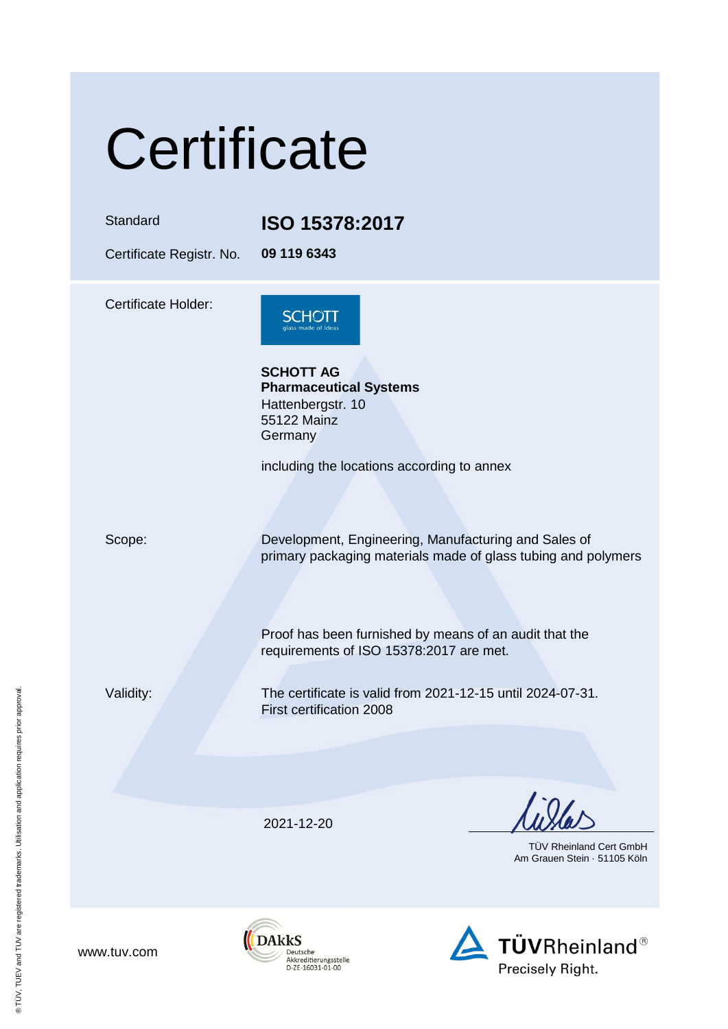# **Certificate**

Standard **ISO 15378:2017**

Certificate Registr. No. **09 119 6343**

Certificate Holder:



**SCHOTT AG Pharmaceutical Systems** Hattenbergstr. 10 55122 Mainz **Germany** 

including the locations according to annex

Scope: Development, Engineering, Manufacturing and Sales of primary packaging materials made of glass tubing and polymers

> Proof has been furnished by means of an audit that the requirements of ISO 15378:2017 are met.

Validity: The certificate is valid from 2021-12-15 until 2024-07-31. First certification 2008

2021-12-20

TÜV Rheinland Cert GmbH Am Grauen Stein · 51105 Köln



www.tuv.com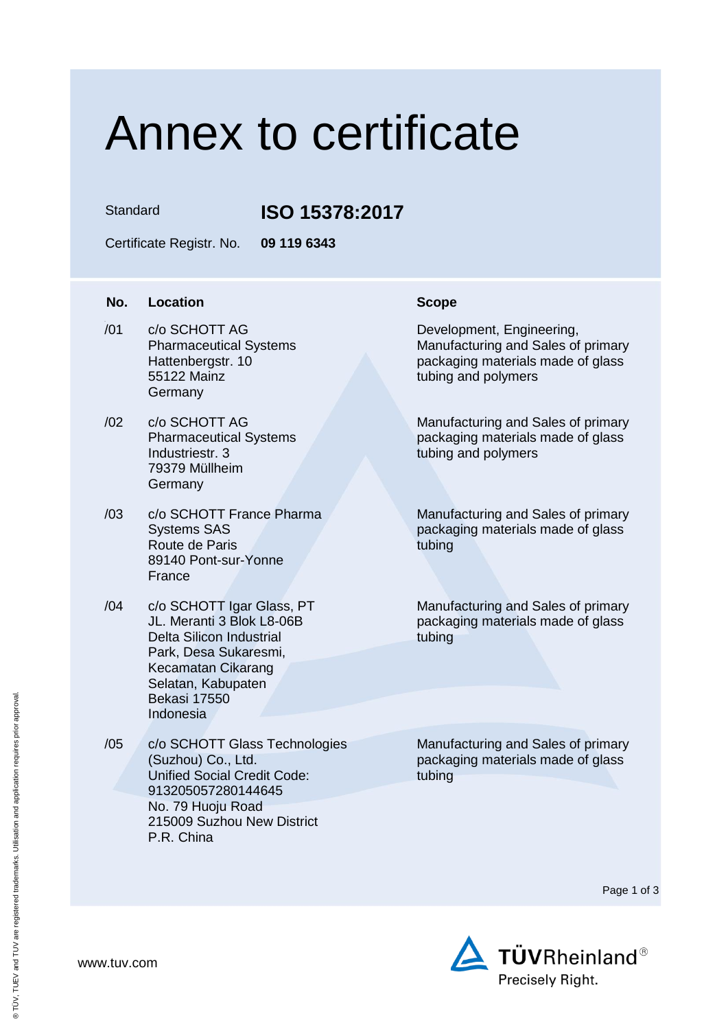### Annex to certificate

### Standard **ISO 15378:2017**

Certificate Registr. No. **09 119 6343**

| No. | <b>Location</b>                                                                                                                                                                                    | <b>Scope</b>                        |
|-----|----------------------------------------------------------------------------------------------------------------------------------------------------------------------------------------------------|-------------------------------------|
| /01 | c/o SCHOTT AG<br><b>Pharmaceutical Systems</b><br>Hattenbergstr. 10<br>55122 Mainz<br>Germany                                                                                                      | Develo<br>Manufa<br>packa<br>tubing |
| /02 | c/o SCHOTT AG<br><b>Pharmaceutical Systems</b><br>Industriestr. 3<br>79379 Müllheim<br>Germany                                                                                                     | Manufa<br>packa<br>tubing           |
| /03 | c/o SCHOTT France Pharma<br><b>Systems SAS</b><br>Route de Paris<br>89140 Pont-sur-Yonne<br>France                                                                                                 | Manufa<br>packa<br>tubing           |
| /04 | c/o SCHOTT Igar Glass, PT<br>JL. Meranti 3 Blok L8-06B<br><b>Delta Silicon Industrial</b><br>Park, Desa Sukaresmi,<br>Kecamatan Cikarang<br>Selatan, Kabupaten<br><b>Bekasi 17550</b><br>Indonesia | Manufa<br>packa<br>tubing           |
| /05 | c/o SCHOTT Glass Technologies<br>(Suzhou) Co., Ltd.<br><b>Unified Social Credit Code:</b><br>913205057280144645                                                                                    | Manufa<br>packa<br>tubing           |

No. 79 Huoju Road

P.R. China

215009 Suzhou New District

Development, Engineering, Manufacturing and Sales of primary packaging materials made of glass tubing and polymers

Manufacturing and Sales of primary packaging materials made of glass tubing and polymers

Manufacturing and Sales of primary packaging materials made of glass tubing

Manufacturing and Sales of primary packaging materials made of glass tubing

Manufacturing and Sales of primary packaging materials made of glass tubing

Page 1 of 3

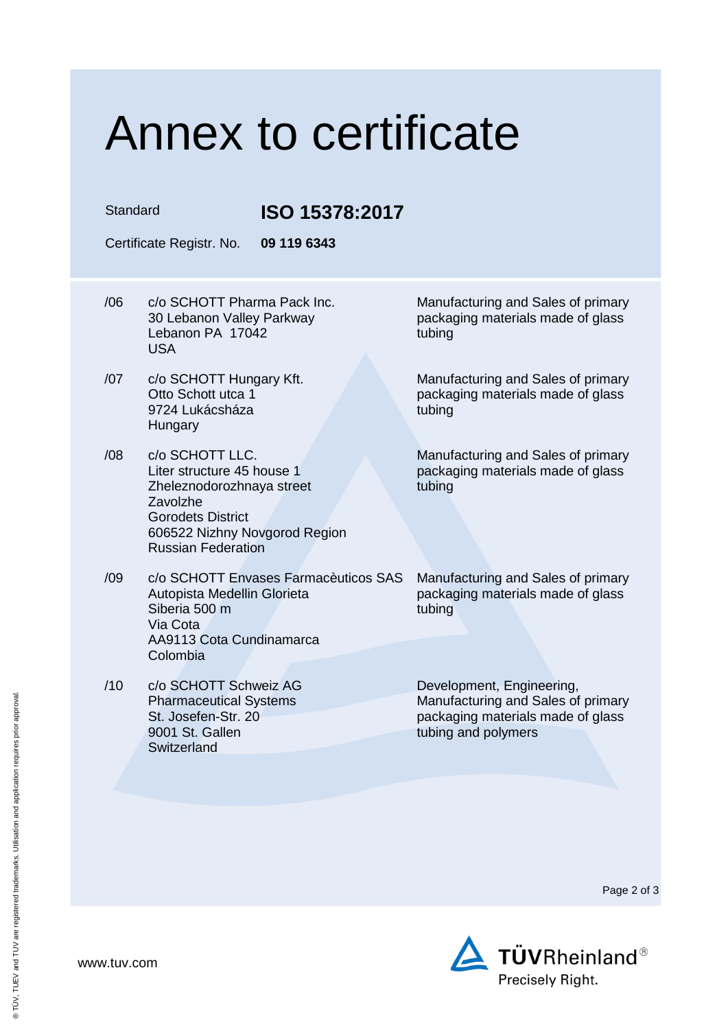## Annex to certificate

Standard **ISO 15378:2017**

Certificate Registr. No. **09 119 6343**

- /06 c/o SCHOTT Pharma Pack Inc. 30 Lebanon Valley Parkway Lebanon PA 17042 USA
- /07 c/o SCHOTT Hungary Kft. Otto Schott utca 1 9724 Lukácsháza **Hungary**
- /08 c/o SCHOTT LLC. Liter structure 45 house 1 Zheleznodorozhnaya street Zavolzhe Gorodets District 606522 Nizhny Novgorod Region Russian Federation
- /09 c/o SCHOTT Envases Farmacèuticos SAS Autopista Medellin Glorieta Siberia 500 m Via Cota AA9113 Cota Cundinamarca Colombia
- /10 c/o SCHOTT Schweiz AG Pharmaceutical Systems St. Josefen-Str. 20 9001 St. Gallen **Switzerland**

Manufacturing and Sales of primary packaging materials made of glass tubing

Manufacturing and Sales of primary packaging materials made of glass tubing

Manufacturing and Sales of primary packaging materials made of glass tubing

Manufacturing and Sales of primary packaging materials made of glass tubing

Development, Engineering, Manufacturing and Sales of primary packaging materials made of glass tubing and polymers

Page 2 of 3